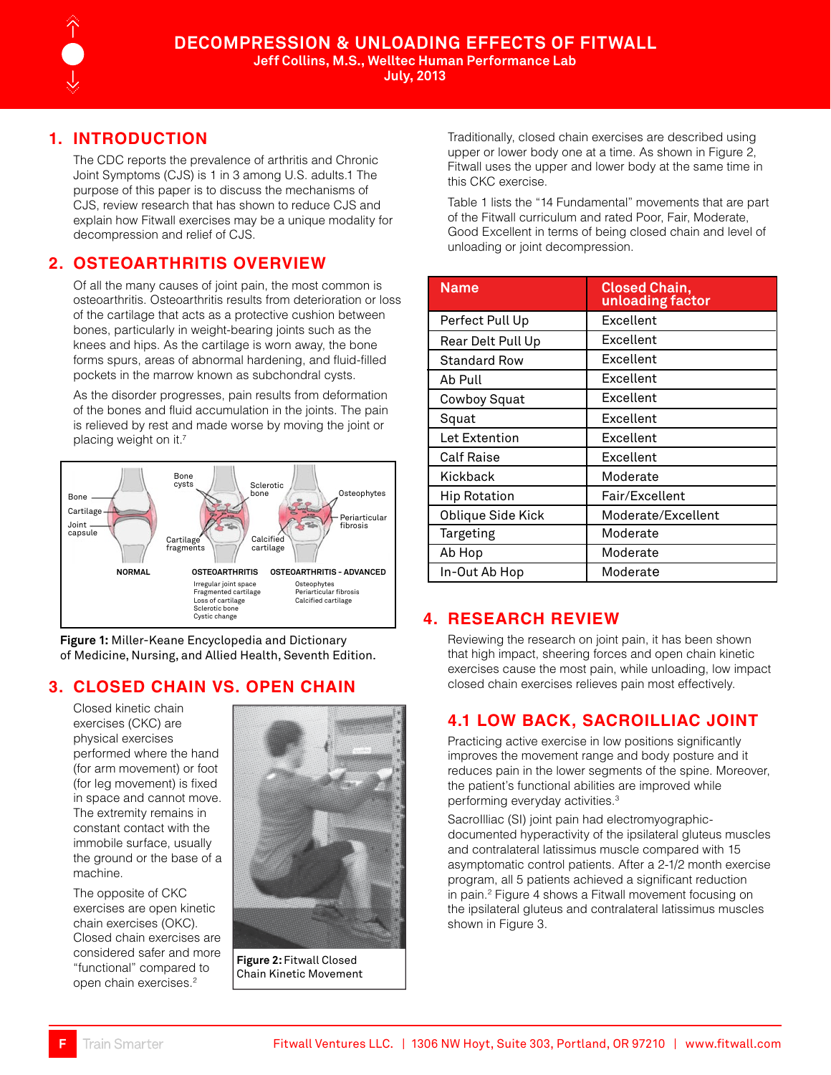

### **1. INTRODUCTION**

The CDC reports the prevalence of arthritis and Chronic Joint Symptoms (CJS) is 1 in 3 among U.S. adults.1 The purpose of this paper is to discuss the mechanisms of CJS, review research that has shown to reduce CJS and explain how Fitwall exercises may be a unique modality for decompression and relief of CJS.

## **2. Osteoarthritis Overview**

Of all the many causes of joint pain, the most common is osteoarthritis. Osteoarthritis results from deterioration or loss of the cartilage that acts as a protective cushion between bones, particularly in weight-bearing joints such as the knees and hips. As the cartilage is worn away, the bone forms spurs, areas of abnormal hardening, and fluid-filled pockets in the marrow known as subchondral cysts.

As the disorder progresses, pain results from deformation of the bones and fluid accumulation in the joints. The pain is relieved by rest and made worse by moving the joint or placing weight on it.7



**Figure 1:** Miller-Keane Encyclopedia and Dictionary of Medicine, Nursing, and Allied Health, Seventh Edition.

# **3. Closed Chain vs. Open Chain**

Closed kinetic chain exercises (CKC) are physical exercises performed where the hand (for arm movement) or foot (for leg movement) is fixed in space and cannot move. The extremity remains in constant contact with the immobile surface, usually the ground or the base of a machine.

The opposite of CKC exercises are open kinetic chain exercises (OKC). Closed chain exercises are considered safer and more "functional" compared to open chain exercises.2



**Figure 2:** Fitwall Closed Chain Kinetic Movement

Traditionally, closed chain exercises are described using upper or lower body one at a time. As shown in Figure 2, Fitwall uses the upper and lower body at the same time in this CKC exercise.

Table 1 lists the "14 Fundamental" movements that are part of the Fitwall curriculum and rated Poor, Fair, Moderate, Good Excellent in terms of being closed chain and level of unloading or joint decompression.

| <b>Name</b>         | <b>Closed Chain,<br/>unloading factor</b> |
|---------------------|-------------------------------------------|
| Perfect Pull Up     | Excellent                                 |
| Rear Delt Pull Up   | Excellent                                 |
| <b>Standard Row</b> | Excellent                                 |
| Ab Pull             | Excellent                                 |
| Cowboy Squat        | Excellent                                 |
| Squat               | Excellent                                 |
| Let Extention       | Excellent                                 |
| <b>Calf Raise</b>   | Excellent                                 |
| Kickback            | Moderate                                  |
| Hip Rotation        | Fair/Excellent                            |
| Oblique Side Kick   | Moderate/Excellent                        |
| Targeting           | Moderate                                  |
| Ab Hop              | Moderate                                  |
| In-Out Ab Hop       | Moderate                                  |

# **4. Research Review**

Reviewing the research on joint pain, it has been shown that high impact, sheering forces and open chain kinetic exercises cause the most pain, while unloading, low impact closed chain exercises relieves pain most effectively.

# **4.1 Low Back, SacroIlliac Joint**

Practicing active exercise in low positions significantly improves the movement range and body posture and it reduces pain in the lower segments of the spine. Moreover, the patient's functional abilities are improved while performing everyday activities.3

SacroIlliac (SI) joint pain had electromyographicdocumented hyperactivity of the ipsilateral gluteus muscles and contralateral latissimus muscle compared with 15 asymptomatic control patients. After a 2-1/2 month exercise program, all 5 patients achieved a significant reduction in pain.2 Figure 4 shows a Fitwall movement focusing on the ipsilateral gluteus and contralateral latissimus muscles shown in Figure 3.